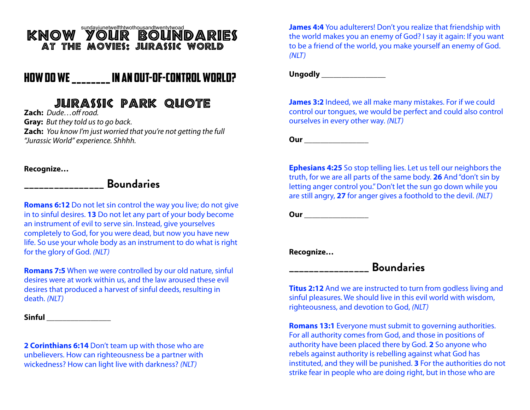# $\texttt{KNOW}$   $\texttt{YOUT}$   $\texttt{WCM}$   $\texttt{BOUTNDARIES}$ At The Movies: Jurassic World

## How Do we \_\_\_\_\_\_\_\_ in an Out-of-control WORLD?

# Jurassic Park Quote

**Zach:** *Dude…o*ff *road.* **Gray:** *But they told us to go back.* **Zach:** *You know I'm just worried that you're not getting the full "Jurassic World" experience. Shhhh.*

**Recognize…**

#### **\_\_\_\_\_\_\_\_\_\_\_\_\_\_\_\_ Boundaries**

**Romans 6:12** Do not let sin control the way you live; do not give in to sinful desires. **13** Do not let any part of your body become an instrument of evil to serve sin. Instead, give yourselves completely to God, for you were dead, but now you have new life. So use your whole body as an instrument to do what is right for the glory of God. *(NLT)*

**Romans 7:5** When we were controlled by our old nature, sinful desires were at work within us, and the law aroused these evil desires that produced a harvest of sinful deeds, resulting in death. *(NLT)*

**Sinful \_\_\_\_\_\_\_\_\_\_\_\_\_\_\_\_**

**2 Corinthians 6:14** Don't team up with those who are unbelievers. How can righteousness be a partner with wickedness? How can light live with darkness? *(NLT)*

**James 4:4** You adulterers! Don't you realize that friendship with the world makes you an enemy of God? I say it again: If you want to be a friend of the world, you make yourself an enemy of God. *(NLT)*

Ungodly **and a** 

**James 3:2** Indeed, we all make many mistakes. For if we could control our tongues, we would be perfect and could also control ourselves in every other way. *(NLT)*

**Our** *COURCILIATE* 

**Ephesians 4:25** So stop telling lies. Let us tell our neighbors the truth, for we are all parts of the same body. **26** And "don't sin by letting anger control you." Don't let the sun go down while you are still angry, **27** for anger gives a foothold to the devil. *(NLT)*

**Our** *Constitution* **<b>***Constitution* 

**Recognize…**

## **\_\_\_\_\_\_\_\_\_\_\_\_\_\_\_\_ Boundaries**

**Titus 2:12** And we are instructed to turn from godless living and sinful pleasures. We should live in this evil world with wisdom, righteousness, and devotion to God, *(NLT)*

**Romans 13:1** Everyone must submit to governing authorities. For all authority comes from God, and those in positions of authority have been placed there by God. **2** So anyone who rebels against authority is rebelling against what God has instituted, and they will be punished. **3** For the authorities do not strike fear in people who are doing right, but in those who are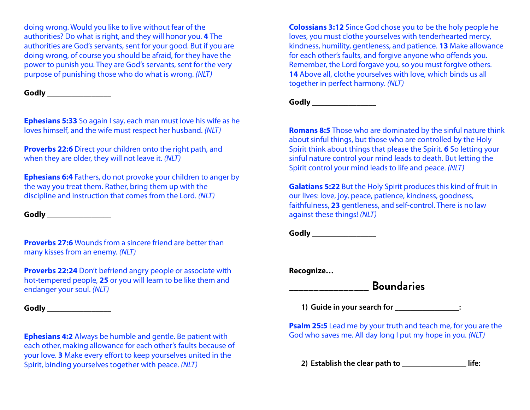doing wrong. Would you like to live without fear of the authorities? Do what is right, and they will honor you. **4** The authorities are God's servants, sent for your good. But if you are doing wrong, of course you should be afraid, for they have the power to punish you. They are God's servants, sent for the very purpose of punishing those who do what is wrong. *(NLT)*

**Godly \_\_\_\_\_\_\_\_\_\_\_\_\_\_\_\_**

**Ephesians 5:33** So again I say, each man must love his wife as he loves himself, and the wife must respect her husband. *(NLT)*

**Proverbs 22:6** Direct your children onto the right path, and when they are older, they will not leave it. *(NLT)*

**Ephesians 6:4** Fathers, do not provoke your children to anger by the way you treat them. Rather, bring them up with the discipline and instruction that comes from the Lord. *(NLT)*

**Godly \_\_\_\_\_\_\_\_\_\_\_\_\_\_\_\_**

**Proverbs 27:6** Wounds from a sincere friend are better than many kisses from an enemy. *(NLT)*

**Proverbs 22:24** Don't befriend angry people or associate with hot-tempered people, **25** or you will learn to be like them and endanger your soul. *(NLT)*

**Godly \_\_\_\_\_\_\_\_\_\_\_\_\_\_\_\_**

**Ephesians 4:2** Always be humble and gentle. Be patient with each other, making allowance for each other's faults because of your love. **3** Make every effort to keep yourselves united in the Spirit, binding yourselves together with peace. *(NLT)*

**Colossians 3:12** Since God chose you to be the holy people he loves, you must clothe yourselves with tenderhearted mercy, kindness, humility, gentleness, and patience. **13** Make allowance for each other's faults, and forgive anyone who offends you. Remember, the Lord forgave you, so you must forgive others. **14** Above all, clothe yourselves with love, which binds us all together in perfect harmony. *(NLT)*

Godly **and a set of the set of the set of the set of the set of the set of the set of the set of the set of the set of the set of the set of the set of the set of the set of the set of the set of the set of the set of the** 

**Romans 8:5** Those who are dominated by the sinful nature think about sinful things, but those who are controlled by the Holy Spirit think about things that please the Spirit. **6** So letting your sinful nature control your mind leads to death. But letting the Spirit control your mind leads to life and peace. *(NLT)*

**Galatians 5:22** But the Holy Spirit produces this kind of fruit in our lives: love, joy, peace, patience, kindness, goodness, faithfulness, **23** gentleness, and self-control. There is no law against these things! *(NLT)*

Godly **and a set of the set of the set of the set of the set of the set of the set of the set of the set of the set of the set of the set of the set of the set of the set of the set of the set of the set of the set of the** 

**Recognize…**

### **\_\_\_\_\_\_\_\_\_\_\_\_\_\_\_\_ Boundaries**

**1) Guide in your search for \_\_\_\_\_\_\_\_\_\_\_\_\_\_\_\_:**

**Psalm 25:5** Lead me by your truth and teach me, for you are the God who saves me. All day long I put my hope in you. *(NLT)*

**2) Establish the clear path to \_\_\_\_\_\_\_\_\_\_\_\_\_\_\_\_ life:**